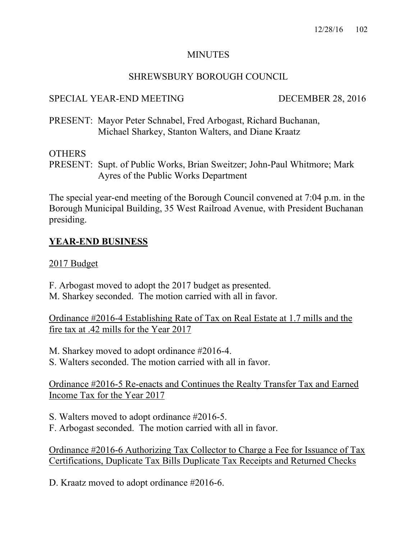### MINUTES

### SHREWSBURY BOROUGH COUNCIL

# SPECIAL YEAR-END MEETING DECEMBER 28, 2016

PRESENT: Mayor Peter Schnabel, Fred Arbogast, Richard Buchanan, Michael Sharkey, Stanton Walters, and Diane Kraatz

#### **OTHERS**

PRESENT: Supt. of Public Works, Brian Sweitzer; John-Paul Whitmore; Mark Ayres of the Public Works Department

The special year-end meeting of the Borough Council convened at 7:04 p.m. in the Borough Municipal Building, 35 West Railroad Avenue, with President Buchanan presiding.

# **YEAR-END BUSINESS**

#### 2017 Budget

F. Arbogast moved to adopt the 2017 budget as presented. M. Sharkey seconded. The motion carried with all in favor.

Ordinance #2016-4 Establishing Rate of Tax on Real Estate at 1.7 mills and the fire tax at .42 mills for the Year 2017

M. Sharkey moved to adopt ordinance #2016-4.

S. Walters seconded. The motion carried with all in favor.

Ordinance #2016-5 Re-enacts and Continues the Realty Transfer Tax and Earned Income Tax for the Year 2017

S. Walters moved to adopt ordinance #2016-5.

F. Arbogast seconded. The motion carried with all in favor.

Ordinance #2016-6 Authorizing Tax Collector to Charge a Fee for Issuance of Tax Certifications, Duplicate Tax Bills Duplicate Tax Receipts and Returned Checks

D. Kraatz moved to adopt ordinance #2016-6.